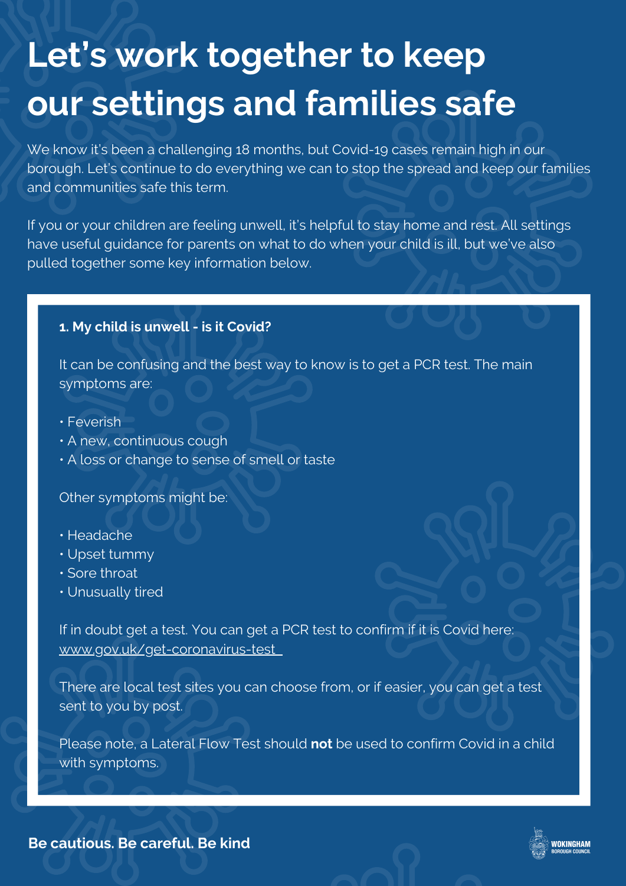# **Let's work together to keep our settings and families safe**

We know it's been a challenging 18 months, but Covid-19 cases remain high in our borough. Let's continue to do everything we can to stop the spread and keep our families and communities safe this term.

If you or your children are feeling unwell, it's helpful to stay home and rest. All settings have useful guidance for parents on what to do when your child is ill, but we've also pulled together some key information below.

## **1. My child is unwell - is it Covid?**

It can be confusing and the best way to know is to get a PCR test. The main symptoms are:

- Feverish
- A new, continuous cough
- A loss or change to sense of smell or taste

Other symptoms might be:

- Headache
- Upset tummy
- Sore throat
- Unusually tired

If in doubt get a test. You can get a PCR test to confirm if it is Covid here: [www.gov.uk/get-coronavirus-test](http://www.gov.uk/get-coronavirus-test)

There are local test sites you can choose from, or if easier, you can get a test sent to you by post.

Please note, a Lateral Flow Test should **not** be used to confirm Covid in a child with symptoms.

**NOKINGHAM** 

**Be cautious. Be careful. Be kind**